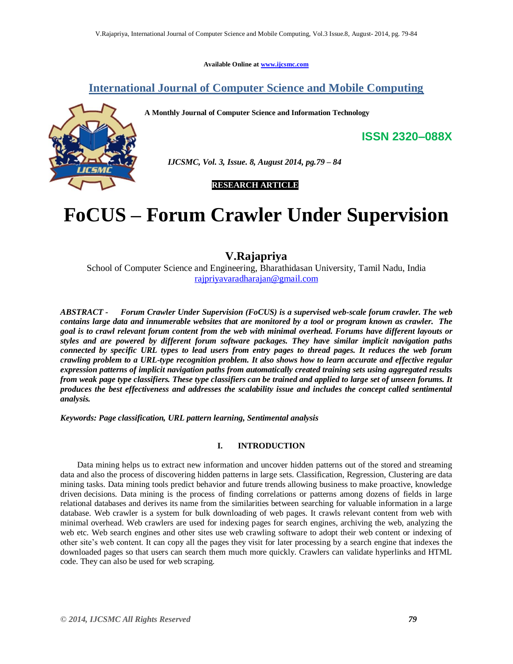**Available Online at www.ijcsmc.com**

# **International Journal of Computer Science and Mobile Computing**

**A Monthly Journal of Computer Science and Information Technology**



 *IJCSMC, Vol. 3, Issue. 8, August 2014, pg.79 – 84*

 **RESEARCH ARTICLE**

# **FoCUS – Forum Crawler Under Supervision**

# **V.Rajapriya**

School of Computer Science and Engineering, Bharathidasan University, Tamil Nadu, India rajpriyavaradharajan@gmail.com

*ABSTRACT - Forum Crawler Under Supervision (FoCUS) is a supervised web-scale forum crawler. The web contains large data and innumerable websites that are monitored by a tool or program known as crawler. The goal is to crawl relevant forum content from the web with minimal overhead. Forums have different layouts or styles and are powered by different forum software packages. They have similar implicit navigation paths connected by specific URL types to lead users from entry pages to thread pages. It reduces the web forum crawling problem to a URL-type recognition problem. It also shows how to learn accurate and effective regular expression patterns of implicit navigation paths from automatically created training sets using aggregated results from weak page type classifiers. These type classifiers can be trained and applied to large set of unseen forums. It produces the best effectiveness and addresses the scalability issue and includes the concept called sentimental analysis.*

*Keywords: Page classification, URL pattern learning, Sentimental analysis*

# **I. INTRODUCTION**

Data mining helps us to extract new information and uncover hidden patterns out of the stored and streaming data and also the process of discovering hidden patterns in large sets. Classification, Regression, Clustering are data mining tasks. Data mining tools predict behavior and future trends allowing business to make proactive, knowledge driven decisions. Data mining is the process of finding correlations or patterns among dozens of fields in large relational databases and derives its name from the similarities between searching for valuable information in a large database. Web crawler is a system for bulk downloading of web pages. It crawls relevant content from web with minimal overhead. Web crawlers are used for indexing pages for search engines, archiving the web, analyzing the web etc. Web search engines and other sites use web crawling software to adopt their web content or indexing of other site"s web content. It can copy all the pages they visit for later processing by a search engine that indexes the downloaded pages so that users can search them much more quickly. Crawlers can validate hyperlinks and HTML code. They can also be used for web scraping.

**ISSN 2320–088X**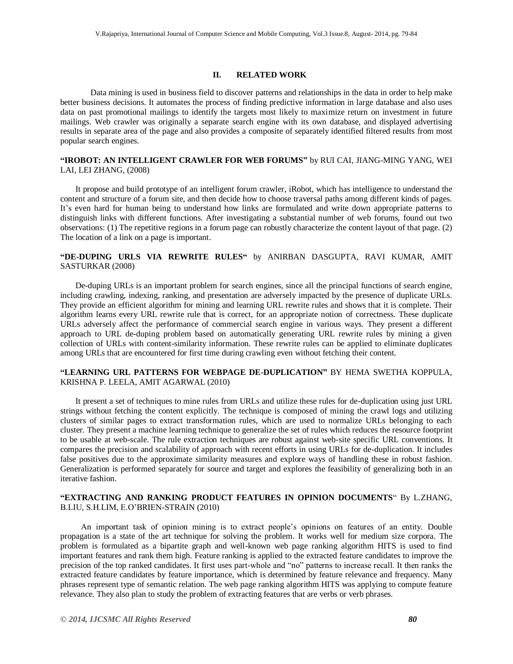#### **II. RELATED WORK**

Data mining is used in business field to discover patterns and relationships in the data in order to help make better business decisions. It automates the process of finding predictive information in large database and also uses data on past promotional mailings to identify the targets most likely to maximize return on investment in future mailings. Web crawler was originally a separate search engine with its own database, and displayed advertising results in separate area of the page and also provides a composite of separately identified filtered results from most popular search engines.

## **"IROBOT: AN INTELLIGENT CRAWLER FOR WEB FORUMS"** by RUI CAI, JIANG-MING YANG, WEI LAI, LEI ZHANG, (2008)

It propose and build prototype of an intelligent forum crawler, iRobot, which has intelligence to understand the content and structure of a forum site, and then decide how to choose traversal paths among different kinds of pages. It's even hard for human being to understand how links are formulated and write down appropriate patterns to distinguish links with different functions. After investigating a substantial number of web forums, found out two observations: (1) The repetitive regions in a forum page can robustly characterize the content layout of that page. (2) The location of a link on a page is important.

# **"DE-DUPING URLS VIA REWRITE RULES"** by ANIRBAN DASGUPTA, RAVI KUMAR, AMIT SASTURKAR (2008)

De-duping URLs is an important problem for search engines, since all the principal functions of search engine, including crawling, indexing, ranking, and presentation are adversely impacted by the presence of duplicate URLs. They provide an efficient algorithm for mining and learning URL rewrite rules and shows that it is complete. Their algorithm learns every URL rewrite rule that is correct, for an appropriate notion of correctness. These duplicate URLs adversely affect the performance of commercial search engine in various ways. They present a different approach to URL de-duping problem based on automatically generating URL rewrite rules by mining a given collection of URLs with content-similarity information. These rewrite rules can be applied to eliminate duplicates among URLs that are encountered for first time during crawling even without fetching their content.

## **"LEARNING URL PATTERNS FOR WEBPAGE DE-DUPLICATION"** BY HEMA SWETHA KOPPULA, KRISHNA P. LEELA, AMIT AGARWAL (2010)

It present a set of techniques to mine rules from URLs and utilize these rules for de-duplication using just URL strings without fetching the content explicitly. The technique is composed of mining the crawl logs and utilizing clusters of similar pages to extract transformation rules, which are used to normalize URLs belonging to each cluster. They present a machine learning technique to generalize the set of rules which reduces the resource footprint to be usable at web-scale. The rule extraction techniques are robust against web-site specific URL conventions. It compares the precision and scalability of approach with recent efforts in using URLs for de-duplication. It includes false positives due to the approximate similarity measures and explore ways of handling these in robust fashion. Generalization is performed separately for source and target and explores the feasibility of generalizing both in an iterative fashion.

## **"EXTRACTING AND RANKING PRODUCT FEATURES IN OPINION DOCUMENTS**" By L.ZHANG, B.LIU, S.H.LIM, E.O"BRIEN-STRAIN (2010)

 An important task of opinion mining is to extract people"s opinions on features of an entity. Double propagation is a state of the art technique for solving the problem. It works well for medium size corpora. The problem is formulated as a bipartite graph and well-known web page ranking algorithm HITS is used to find important features and rank them high. Feature ranking is applied to the extracted feature candidates to improve the precision of the top ranked candidates. It first uses part-whole and "no" patterns to increase recall. It then ranks the extracted feature candidates by feature importance, which is determined by feature relevance and frequency. Many phrases represent type of semantic relation. The web page ranking algorithm HITS was applying to compute feature relevance. They also plan to study the problem of extracting features that are verbs or verb phrases.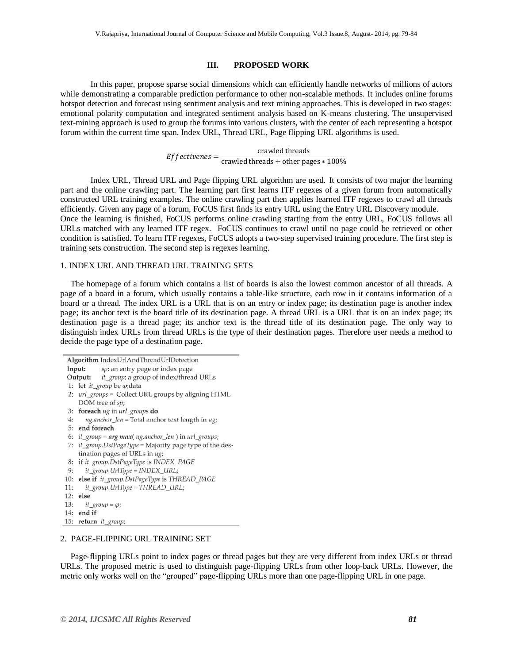#### **III. PROPOSED WORK**

In this paper, propose sparse social dimensions which can efficiently handle networks of millions of actors while demonstrating a comparable prediction performance to other non-scalable methods. It includes online forums hotspot detection and forecast using sentiment analysis and text mining approaches. This is developed in two stages: emotional polarity computation and integrated sentiment analysis based on K-means clustering. The unsupervised text-mining approach is used to group the forums into various clusters, with the center of each representing a hotspot forum within the current time span. Index URL, Thread URL, Page flipping URL algorithms is used.

> $Effectiveness = \frac{1}{c}$ crawled threads

Index URL, Thread URL and Page flipping URL algorithm are used. It consists of two major the learning part and the online crawling part. The learning part first learns ITF regexes of a given forum from automatically constructed URL training examples. The online crawling part then applies learned ITF regexes to crawl all threads efficiently. Given any page of a forum, FoCUS first finds its entry URL using the Entry URL Discovery module. Once the learning is finished, FoCUS performs online crawling starting from the entry URL, FoCUS follows all URLs matched with any learned ITF regex. FoCUS continues to crawl until no page could be retrieved or other condition is satisfied. To learn ITF regexes, FoCUS adopts a two-step supervised training procedure. The first step is training sets construction. The second step is regexes learning.

#### 1. INDEX URL AND THREAD URL TRAINING SETS

 The homepage of a forum which contains a list of boards is also the lowest common ancestor of all threads. A page of a board in a forum, which usually contains a table-like structure, each row in it contains information of a board or a thread. The index URL is a URL that is on an entry or index page; its destination page is another index page; its anchor text is the board title of its destination page. A thread URL is a URL that is on an index page; its destination page is a thread page; its anchor text is the thread title of its destination page. The only way to distinguish index URLs from thread URLs is the type of their destination pages. Therefore user needs a method to decide the page type of a destination page.

Algorithm IndexUrlAndThreadUrlDetection Input: sp: an entry page or index page it\_group: a group of index/thread URLs Output: 1: let it\_group be  $\varphi$ ; data 2: url groups = Collect URL groups by aligning HTML DOM tree of sp; 3: foreach ug in url\_groups do  $ug. anchor\_len = Total$  anchor text length in  $ug$ ;  $4:$ 5: end foreach 6: it group =  $arg max( uq. anchor len )$  in url groups; 7: it\_group.DstPageType = Majority page type of the destination pages of URLs in ug; 8: if it\_group.DstPageType is INDEX\_PAGE it\_group.UrlType = INDEX\_URL;  $9:$ 10: else if it\_group.DstPageType is THREAD\_PAGE it\_group.UrlType = THREAD\_URL;  $11:$ 12: else  $13:$  $it\_group = \varphi;$ 14: end if 15: return *it\_group*;

## 2. PAGE-FLIPPING URL TRAINING SET

 Page-flipping URLs point to index pages or thread pages but they are very different from index URLs or thread URLs. The proposed metric is used to distinguish page-flipping URLs from other loop-back URLs. However, the metric only works well on the "grouped" page-flipping URLs more than one page-flipping URL in one page.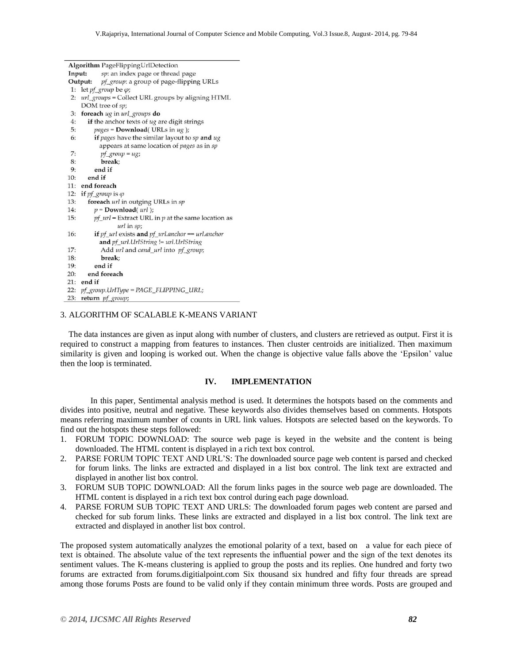| <b>Algorithm</b> PageFlippingUrlDetection          |                                                                           |
|----------------------------------------------------|---------------------------------------------------------------------------|
| sp: an index page or thread page<br>Input:         |                                                                           |
| pf_group: a group of page-flipping URLs<br>Output: |                                                                           |
| 1:                                                 | let $pf\_group$ be $\varphi$ ;                                            |
| 2:                                                 | url_groups = Collect URL groups by aligning HTML                          |
|                                                    | DOM tree of sp;                                                           |
| 3:                                                 | foreach ug in url_groups do                                               |
| 4:                                                 | if the anchor texts of ug are digit strings                               |
| 5:                                                 | $pages = Download( URLs in ug);$                                          |
| 6:                                                 | if pages have the similar layout to sp and ug                             |
|                                                    | appears at same location of <i>pages</i> as in sp                         |
| 7:                                                 | $pf\_group = ug;$                                                         |
| 8:                                                 | break:                                                                    |
| 9:                                                 | end if                                                                    |
| 10:                                                | end if                                                                    |
| 11:                                                | end foreach                                                               |
| 12:                                                | if $pf\_group$ is $\varphi$                                               |
| 13:                                                | foreach url in outging URLs in sp                                         |
| 14:                                                | $p =$ Download( $url$ );                                                  |
| 15:                                                | $pf\_url =$ Extract URL in $p$ at the same location as                    |
|                                                    | $url$ in $sp$ ;                                                           |
| 16:                                                | if $pf$ <sub>url</sub> exists and $pf$ <sub>url</sub> anchor = url anchor |
|                                                    | and pf_url.UrlString != url.UrlString                                     |
| 17:                                                | Add url and cand_url into pf_group;                                       |
| 18:                                                | break:                                                                    |
| 19:                                                | end if                                                                    |
| 20:                                                | end foreach                                                               |
| 21:                                                | end if                                                                    |
|                                                    | 22: pf_group.UrlType = PAGE_FLIPPING_URL;                                 |
| 23:                                                | return <i>pf</i> group:                                                   |

#### 3. ALGORITHM OF SCALABLE K-MEANS VARIANT

 The data instances are given as input along with number of clusters, and clusters are retrieved as output. First it is required to construct a mapping from features to instances. Then cluster centroids are initialized. Then maximum similarity is given and looping is worked out. When the change is objective value falls above the "Epsilon" value then the loop is terminated.

#### **IV. IMPLEMENTATION**

In this paper, Sentimental analysis method is used. It determines the hotspots based on the comments and divides into positive, neutral and negative. These keywords also divides themselves based on comments. Hotspots means referring maximum number of counts in URL link values. Hotspots are selected based on the keywords. To find out the hotspots these steps followed:

- 1. FORUM TOPIC DOWNLOAD: The source web page is keyed in the website and the content is being downloaded. The HTML content is displayed in a rich text box control.
- 2. PARSE FORUM TOPIC TEXT AND URL"S: The downloaded source page web content is parsed and checked for forum links. The links are extracted and displayed in a list box control. The link text are extracted and displayed in another list box control.
- 3. FORUM SUB TOPIC DOWNLOAD: All the forum links pages in the source web page are downloaded. The HTML content is displayed in a rich text box control during each page download.
- 4. PARSE FORUM SUB TOPIC TEXT AND URLS: The downloaded forum pages web content are parsed and checked for sub forum links. These links are extracted and displayed in a list box control. The link text are extracted and displayed in another list box control.

The proposed system automatically analyzes the emotional polarity of a text, based on a value for each piece of text is obtained. The absolute value of the text represents the influential power and the sign of the text denotes its sentiment values. The K-means clustering is applied to group the posts and its replies. One hundred and forty two forums are extracted from forums.digitialpoint.com Six thousand six hundred and fifty four threads are spread among those forums Posts are found to be valid only if they contain minimum three words. Posts are grouped and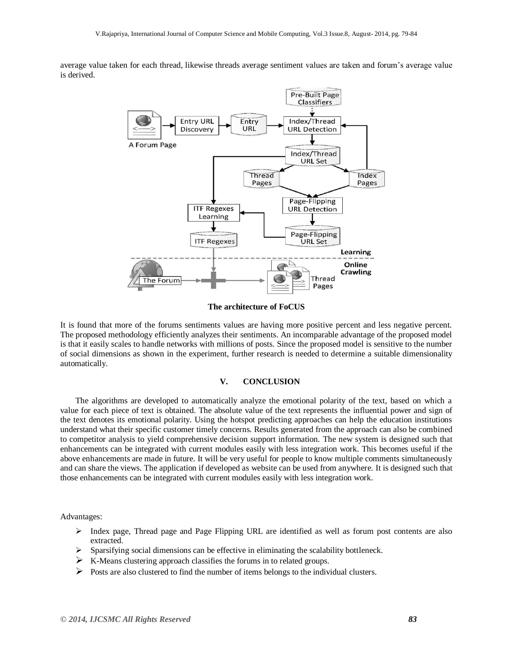average value taken for each thread, likewise threads average sentiment values are taken and forum"s average value is derived.



#### **The architecture of FoCUS**

It is found that more of the forums sentiments values are having more positive percent and less negative percent. The proposed methodology efficiently analyzes their sentiments. An incomparable advantage of the proposed model is that it easily scales to handle networks with millions of posts. Since the proposed model is sensitive to the number of social dimensions as shown in the experiment, further research is needed to determine a suitable dimensionality automatically.

#### **V. CONCLUSION**

The algorithms are developed to automatically analyze the emotional polarity of the text, based on which a value for each piece of text is obtained. The absolute value of the text represents the influential power and sign of the text denotes its emotional polarity. Using the hotspot predicting approaches can help the education institutions understand what their specific customer timely concerns. Results generated from the approach can also be combined to competitor analysis to yield comprehensive decision support information. The new system is designed such that enhancements can be integrated with current modules easily with less integration work. This becomes useful if the above enhancements are made in future. It will be very useful for people to know multiple comments simultaneously and can share the views. The application if developed as website can be used from anywhere. It is designed such that those enhancements can be integrated with current modules easily with less integration work.

Advantages:

- $\triangleright$  Index page, Thread page and Page Flipping URL are identified as well as forum post contents are also extracted.
- $\triangleright$  Sparsifying social dimensions can be effective in eliminating the scalability bottleneck.
- $\triangleright$  K-Means clustering approach classifies the forums in to related groups.
- $\triangleright$  Posts are also clustered to find the number of items belongs to the individual clusters.